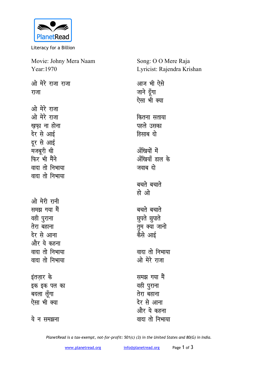

Literacy for a Billion

Movie: Johny Mera Naam Year:1970

<u>ओ मेरे राजा राजा</u> <u>राजा</u>

<u>ओ मेरे राजा</u> <u>ओ मेरे राजा</u> **खफा** ना होना देर से आई दूर से आई **मजबूरी थी** फिर भी मैंने वादा तो निभाया <u>वादा तो निभाया</u>

<u>ओ मेरी रानी</u> **समझ** गया मैं **a**ही पुराना **तेरा** बहाना देर से आना <u>और ये कहना</u> <u>वादा तो निभाया</u> <u>वाटा तो निभाया</u>

**इंतज़ार** के इक इक पल का बदला लूँगा ऐसा भी क्या

## ये न समझना

Song: O O Mere Raja Lyricist: Rajendra Krishan

आज भी ऐसे जाने दूँगा ऐसा भी क्या *कितना सताया* पहले उसका **हिसाब दो** अँखियों में <u>ॲंखियाँ डाल</u> के जवाब दो बचते बचाते **हो** ओ बचते बचाते **<u>छुपते</u>** छुपाते तुम क्या जानो केसे आई <u>वादा तो निभाया</u>

<u>ओ मेरे राजा</u>

समझ गया म<u>े</u>ं **a**ही पुराना **तेरा** बहाना **देर से आना** और ये कहना <u>वादा तो निभाया</u>

*PlanetRead is a tax-exempt, not-for-profit: 501(c) (3) in the United States and 80(G) in India.*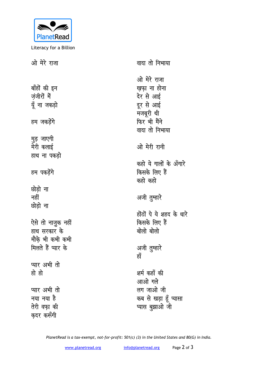

Literacy for a Billion

| ओ मेरे राजा        | वादा तो निभाया           |
|--------------------|--------------------------|
|                    | ओ मेरे राजा              |
| बाँहों की इन       | ख़फ़ा ना होना            |
| ज़ंजीरों में       | देर से आई                |
| यूँ ना जकड़ो       | दूर से आई                |
|                    | मजबूरी थी                |
| हम जकड़ेंगे        | फिर भी मैंने             |
|                    | वादा तो निभाया           |
| मुड़ जाएगी         |                          |
| मेरी कलाई          | ओ मेरी रानी              |
| हाथ ना पकड़ो       |                          |
|                    | कहो ये गालों के ॲगारे    |
| हम पकड़ेंगे        | किसके लिए हैं            |
|                    | कहो कहो                  |
| छोड़ो ना           |                          |
| नहीं               | अजी तुम्हारे             |
| छोड़ो ना           |                          |
|                    | होंठों पे ये शहद के धारे |
| ऐसे तो नाजुक नहीं  | किसके लिए हैं            |
| हाथ सरकार के       | बोलो बोलो                |
| मौके भी कभी कभी    |                          |
| मिलते हैं प्यार के | अजी तुम्हारे             |
|                    | हाँ                      |
| प्यार अभी तो       |                          |
| हो हो              | शर्म कहाँ की             |
|                    | आओ गले                   |
| प्यार अभी तो       | लग जाओ जी                |
| नया नया है         | कब से खड़ा हूँ प्यासा    |
| तेरी वफ़ा की       | प्यास बुझाओ जी           |
| कुदर करूँगी        |                          |

PlanetRead is a tax-exempt, not-for-profit: 501(c) (3) in the United States and 80(G) in India.